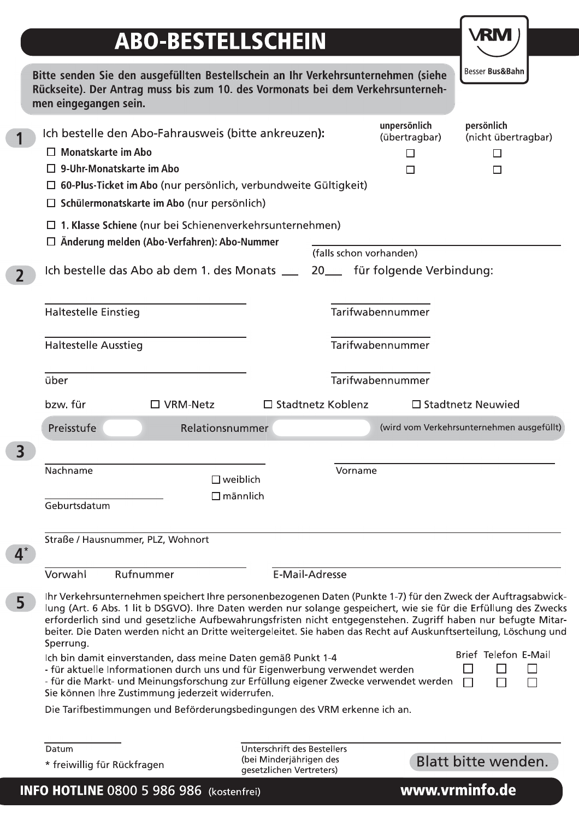## ABO-BESTELLSCHEIN

VRM )

|                | Datum<br>* freiwillig für Rückfragen                                                                                                                                                                                                                                                                                                                |                                       | Unterschrift des Bestellers<br>(bei Minderjährigen des<br>gesetzlichen Vertreters) |                               | Blatt bitte wenden.                       |
|----------------|-----------------------------------------------------------------------------------------------------------------------------------------------------------------------------------------------------------------------------------------------------------------------------------------------------------------------------------------------------|---------------------------------------|------------------------------------------------------------------------------------|-------------------------------|-------------------------------------------|
|                | Die Tarifbestimmungen und Beförderungsbedingungen des VRM erkenne ich an.                                                                                                                                                                                                                                                                           |                                       |                                                                                    |                               |                                           |
|                | - für aktuelle Informationen durch uns und für Eigenwerbung verwendet werden<br>- für die Markt- und Meinungsforschung zur Erfüllung eigener Zwecke verwendet werden<br>Sie können Ihre Zustimmung jederzeit widerrufen.                                                                                                                            |                                       |                                                                                    |                               | H<br>$\Box$<br>П                          |
|                | beiter. Die Daten werden nicht an Dritte weitergeleitet. Sie haben das Recht auf Auskunftserteilung, Löschung und<br>Sperrung.<br>Ich bin damit einverstanden, dass meine Daten gemäß Punkt 1-4                                                                                                                                                     |                                       |                                                                                    |                               | Brief Telefon E-Mail                      |
| 5 <sup>1</sup> | Ihr Verkehrsunternehmen speichert Ihre personenbezogenen Daten (Punkte 1-7) für den Zweck der Auftragsabwick-<br>lung (Art. 6 Abs. 1 lit b DSGVO). Ihre Daten werden nur solange gespeichert, wie sie für die Erfüllung des Zwecks<br>erforderlich sind und gesetzliche Aufbewahrungsfristen nicht entgegenstehen. Zugriff haben nur befugte Mitar- |                                       |                                                                                    |                               |                                           |
|                | Vorwahl<br>Rufnummer                                                                                                                                                                                                                                                                                                                                |                                       | E-Mail-Adresse                                                                     |                               |                                           |
| $4^*$          | Straße / Hausnummer, PLZ, Wohnort                                                                                                                                                                                                                                                                                                                   |                                       |                                                                                    |                               |                                           |
|                | Geburtsdatum                                                                                                                                                                                                                                                                                                                                        |                                       |                                                                                    |                               |                                           |
|                | Nachname                                                                                                                                                                                                                                                                                                                                            | $\square$ weiblich<br>$\Box$ männlich |                                                                                    | Vorname                       |                                           |
| 3 <sup>1</sup> |                                                                                                                                                                                                                                                                                                                                                     |                                       |                                                                                    |                               |                                           |
|                | Preisstufe                                                                                                                                                                                                                                                                                                                                          | □ VRM-Netz<br>Relationsnummer         |                                                                                    |                               | (wird vom Verkehrsunternehmen ausgefüllt) |
|                | über<br>bzw. für                                                                                                                                                                                                                                                                                                                                    |                                       | □ Stadtnetz Koblenz                                                                | Tarifwabennummer              | $\square$ Stadtnetz Neuwied               |
|                | <b>Haltestelle Ausstieg</b>                                                                                                                                                                                                                                                                                                                         |                                       |                                                                                    | Tarifwabennummer              |                                           |
|                | <b>Haltestelle Einstieg</b>                                                                                                                                                                                                                                                                                                                         |                                       |                                                                                    | Tarifwabennummer              |                                           |
| $\overline{2}$ | Ich bestelle das Abo ab dem 1. des Monats __ 20_ für folgende Verbindung:                                                                                                                                                                                                                                                                           |                                       |                                                                                    |                               |                                           |
|                | $\Box$ 1. Klasse Schiene (nur bei Schienenverkehrsunternehmen)<br>□ Änderung melden (Abo-Verfahren): Abo-Nummer                                                                                                                                                                                                                                     |                                       |                                                                                    | (falls schon vorhanden)       |                                           |
|                | $\Box$ Schülermonatskarte im Abo (nur persönlich)                                                                                                                                                                                                                                                                                                   |                                       |                                                                                    |                               |                                           |
|                | <b>Monatskarte im Abo</b><br>$\Box$ 9-Uhr-Monatskarte im Abo<br>$\Box$ 60-Plus-Ticket im Abo (nur persönlich, verbundweite Gültigkeit)                                                                                                                                                                                                              |                                       |                                                                                    | □<br>□                        | □<br>$\Box$                               |
|                | Ich bestelle den Abo-Fahrausweis (bitte ankreuzen):                                                                                                                                                                                                                                                                                                 |                                       |                                                                                    | unpersönlich<br>(übertragbar) | persönlich<br>(nicht übertragbar)         |
|                |                                                                                                                                                                                                                                                                                                                                                     |                                       |                                                                                    |                               |                                           |